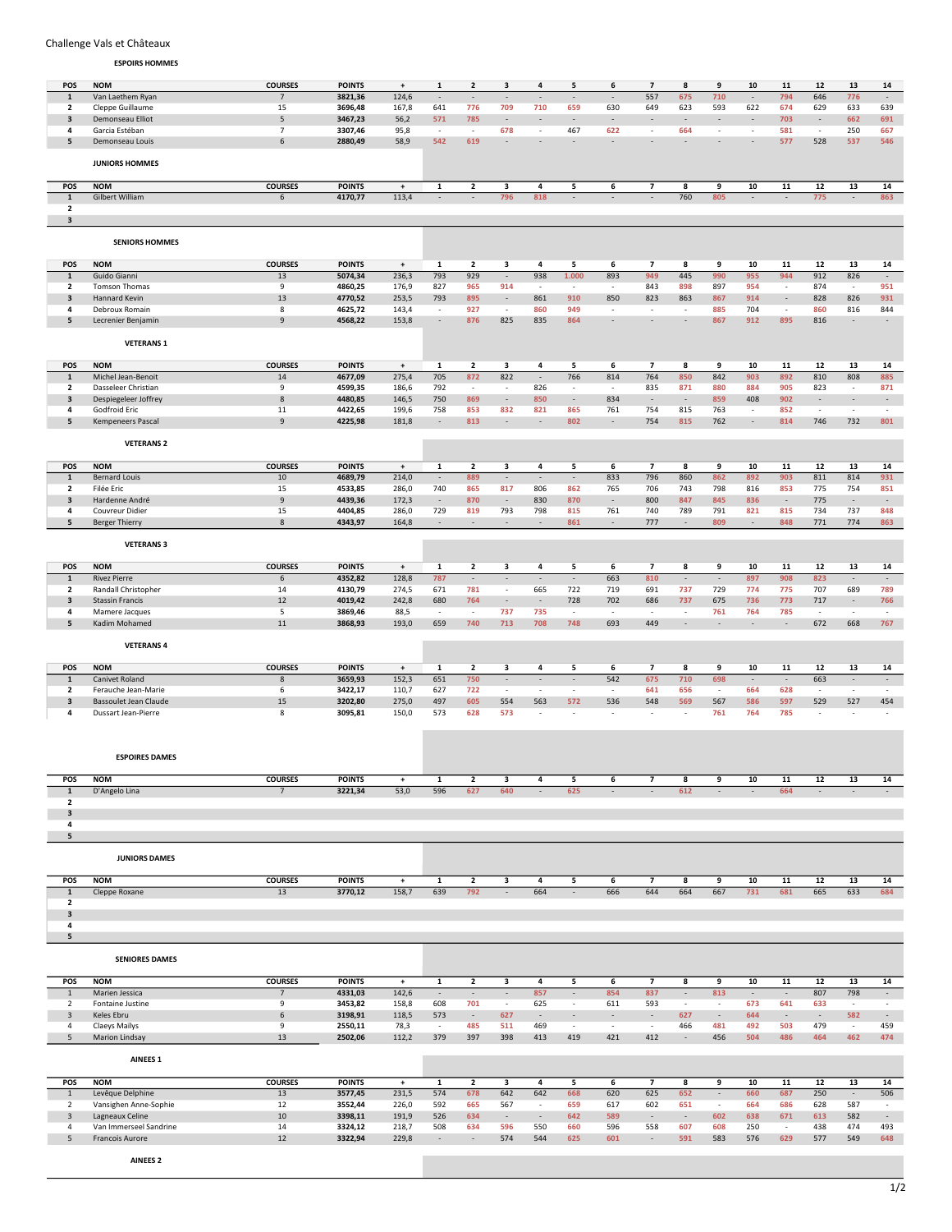## Challenge Vals et Châteaux

ESPOIRS HOMMES

| POS                     | <b>NOM</b>             | <b>COURSES</b>  | <b>POINTS</b> | $^\mathrm{+}$ | 1                               | $\overline{2}$           | 3                        | 4                        | 5                        | 6                        | $\overline{\phantom{a}}$ | 8                        | 9                        | 10                       | 11                       | 12                       | 13                       | 14                       |
|-------------------------|------------------------|-----------------|---------------|---------------|---------------------------------|--------------------------|--------------------------|--------------------------|--------------------------|--------------------------|--------------------------|--------------------------|--------------------------|--------------------------|--------------------------|--------------------------|--------------------------|--------------------------|
| $\mathbf 1$             | Van Laethem Ryan       | $\overline{7}$  | 3821,36       | 124,6         |                                 |                          | $\overline{\phantom{a}}$ |                          | $\overline{\phantom{a}}$ |                          | 557                      | 675                      | 710                      |                          | 794                      | 646                      | 776                      | $\overline{\phantom{a}}$ |
| 2                       | Cleppe Guillaume       | 15              | 3696,48       | 167,8         | 641                             | 776                      | 709                      | 710                      | 659                      | 630                      | 649                      | 623                      | 593                      | 622                      | 674                      | 629                      | 633                      | 639                      |
| 3                       | Demonseau Elliot       | $\overline{5}$  | 3467,23       | 56,2          | 571                             | 785                      | $\overline{\phantom{a}}$ |                          | $\overline{\phantom{a}}$ | $\overline{\phantom{a}}$ |                          | ÷,                       | ÷,                       |                          | 703                      |                          | 662                      | 691                      |
| 4                       | Garcia Estéban         | $\overline{7}$  | 3307,46       | 95,8          | $\sim$                          | $\sim$                   | 678                      | $\overline{\phantom{a}}$ | 467                      | 622                      | $\sim$                   | 664                      | $\overline{\phantom{a}}$ | $\sim$                   | 581                      | $\sim$                   | 250                      | 667                      |
| 5                       | Demonseau Louis        | 6               | 2880,49       | 58,9          | 542                             | 619                      | $\overline{a}$           |                          |                          |                          |                          |                          |                          |                          | 577                      | 528                      | 537                      | 546                      |
|                         |                        |                 |               |               |                                 |                          |                          |                          |                          |                          |                          |                          |                          |                          |                          |                          |                          |                          |
|                         | <b>JUNIORS HOMMES</b>  |                 |               |               |                                 |                          |                          |                          |                          |                          |                          |                          |                          |                          |                          |                          |                          |                          |
|                         |                        |                 |               |               |                                 |                          |                          |                          |                          |                          |                          |                          |                          |                          |                          |                          |                          |                          |
| POS                     | <b>NOM</b>             | <b>COURSES</b>  | <b>POINTS</b> | $\pmb{+}$     | $\mathbf 1$                     | $\mathbf{2}$             | 3                        | 4                        | 5                        | 6                        | 7                        | 8                        | 9                        | 10                       | 11                       | 12                       | 13                       | 14                       |
|                         |                        |                 |               |               | $\sim$                          | $\sim$                   |                          |                          | $\sim$                   | $\sim$                   | ÷.                       |                          |                          | $\sim$                   | $\sim$                   |                          | $\sim$                   |                          |
| $\mathbf{1}$            | Gilbert William        | 6               | 4170,77       | 113,4         |                                 |                          | 796                      | 818                      |                          |                          |                          | 760                      | 805                      |                          |                          | 775                      |                          | 863                      |
| $\overline{2}$          |                        |                 |               |               |                                 |                          |                          |                          |                          |                          |                          |                          |                          |                          |                          |                          |                          |                          |
| $\overline{\mathbf{3}}$ |                        |                 |               |               |                                 |                          |                          |                          |                          |                          |                          |                          |                          |                          |                          |                          |                          |                          |
|                         |                        |                 |               |               |                                 |                          |                          |                          |                          |                          |                          |                          |                          |                          |                          |                          |                          |                          |
|                         | <b>SENIORS HOMMES</b>  |                 |               |               |                                 |                          |                          |                          |                          |                          |                          |                          |                          |                          |                          |                          |                          |                          |
|                         |                        |                 |               |               |                                 |                          |                          |                          |                          |                          |                          |                          |                          |                          |                          |                          |                          |                          |
| POS                     | <b>NOM</b>             | <b>COURSES</b>  | <b>POINTS</b> | $^\mathrm{+}$ | 1                               | $\overline{2}$           | 3                        | 4                        | 5                        | 6                        | $\overline{\phantom{a}}$ | 8                        | 9                        | 10                       | 11                       | 12                       | 13                       | 14                       |
| $\mathbf{1}$            | Guido Gianni           | 13              | 5074,34       | 236,3         | 793                             | 929                      | $\sim$                   | 938                      | 1.000                    | 893                      | 949                      | 445                      | 990                      | 955                      | 944                      | 912                      | 826                      | $\sim$                   |
| $\overline{\mathbf{2}}$ | Tomson Thomas          | 9               | 4860,25       | 176,9         | 827                             | 965                      | 914                      | $\overline{\phantom{a}}$ | $\sim$                   | $\overline{\phantom{a}}$ | 843                      | 898                      | 897                      | 954                      | $\overline{\phantom{a}}$ | 874                      | $\overline{\phantom{a}}$ | 951                      |
| $\overline{\mathbf{3}}$ | Hannard Kevin          | 13              | 4770,52       | 253,5         | 793                             | 895                      | $\sim$                   | 861                      | 910                      | 850                      | 823                      | 863                      | 867                      | 914                      | $\overline{\phantom{a}}$ | 828                      | 826                      | 931                      |
| 4                       | Debroux Romain         | 8               | 4625,72       | 143,4         | $\overline{\phantom{a}}$        | 927                      | $\sim$                   | 860                      | 949                      | $\overline{\phantom{a}}$ | $\sim$                   | $\overline{\phantom{a}}$ | 885                      | 704                      | $\sim$                   | 860                      | 816                      | 844                      |
| 5                       | Lecrenier Benjamin     | 9               | 4568,22       | 153,8         | $\overline{\phantom{a}}$        | 876                      | 825                      | 835                      | 864                      | $\overline{\phantom{a}}$ | $\sim$                   | ÷,                       | 867                      | 912                      | 895                      | 816                      | $\overline{\phantom{a}}$ | $\overline{\phantom{a}}$ |
|                         |                        |                 |               |               |                                 |                          |                          |                          |                          |                          |                          |                          |                          |                          |                          |                          |                          |                          |
|                         | <b>VETERANS 1</b>      |                 |               |               |                                 |                          |                          |                          |                          |                          |                          |                          |                          |                          |                          |                          |                          |                          |
|                         |                        |                 |               |               |                                 |                          |                          |                          |                          |                          |                          |                          |                          |                          |                          |                          |                          |                          |
|                         |                        |                 |               |               |                                 |                          |                          |                          |                          |                          |                          |                          |                          |                          |                          |                          |                          |                          |
| POS                     | <b>NOM</b>             | <b>COURSES</b>  | <b>POINTS</b> | $^\mathrm{+}$ | 1                               | $\overline{2}$           | 3                        | 4                        | 5                        | 6                        | $\overline{\phantom{a}}$ | 8                        | 9                        | 10                       | 11                       | 12                       | 13                       | 14                       |
| $\mathbf 1$             | Michel Jean-Benoit     | $14\,$          | 4677,09       | 275,4         | 705                             | 872                      | 822                      | $\overline{\phantom{a}}$ | 766                      | 814                      | 764                      | 850                      | 842                      | 903                      | 892                      | 810                      | 808                      | 885                      |
| 2                       | Dasseleer Christian    | 9               | 4599,35       | 186,6         | 792                             | $\overline{\phantom{a}}$ | $\overline{\phantom{a}}$ | 826                      | $\overline{\phantom{a}}$ | $\overline{\phantom{a}}$ | 835                      | 871                      | 880                      | 884                      | 905                      | 823                      | $\overline{\phantom{a}}$ | 871                      |
| 3                       | Despiegeleer Joffrey   | $\,$ 8          | 4480,85       | 146,5         | 750                             | 869                      | $\overline{\phantom{a}}$ | 850                      | $\sim$                   | 834                      | $\overline{\phantom{a}}$ | $\overline{\phantom{a}}$ | 859                      | 408                      | 902                      | $\sim$                   | $\sim$                   | $\sim$                   |
| 4                       | Godfroid Eric          | 11              | 4422,65       | 199,6         | 758                             | 853                      | 832                      | 821                      | 865                      | 761                      | 754                      | 815                      | 763                      | $\overline{\phantom{a}}$ | 852                      | $\sim$                   | $\sim$                   | $\sim$                   |
| 5                       | Kempeneers Pascal      | 9               | 4225,98       | 181,8         | $\sim$                          | 813                      | $\overline{\phantom{a}}$ | $\overline{\phantom{a}}$ | 802                      | $\overline{\phantom{a}}$ | 754                      | 815                      | 762                      | $\overline{\phantom{a}}$ | 814                      | 746                      | 732                      | 801                      |
|                         |                        |                 |               |               |                                 |                          |                          |                          |                          |                          |                          |                          |                          |                          |                          |                          |                          |                          |
|                         | <b>VETERANS 2</b>      |                 |               |               |                                 |                          |                          |                          |                          |                          |                          |                          |                          |                          |                          |                          |                          |                          |
|                         |                        |                 |               |               |                                 |                          |                          |                          |                          |                          |                          |                          |                          |                          |                          |                          |                          |                          |
| POS                     | <b>NOM</b>             | <b>COURSES</b>  | <b>POINTS</b> | $\pmb{+}$     | 1                               | $\mathbf{2}$             | 3                        | 4                        | 5                        | 6                        | 7                        | 8                        | 9                        | 10                       | 11                       | 12                       | 13                       | 14                       |
| $\mathbf{1}$            | <b>Bernard Louis</b>   | 10              | 4689,79       | 214,0         | $\sim$                          | 889                      | $\sim$                   | $\sim$                   | $\sim$                   | 833                      | 796                      | 860                      | 862                      | 892                      | 903                      | 811                      | 814                      | 931                      |
| $\overline{2}$          | Filée Eric             | 15              | 4533,85       | 286,0         | 740                             | 865                      | 817                      | 806                      | 862                      | 765                      | 706                      | 743                      | 798                      | 816                      | 853                      | 775                      | 754                      | 851                      |
| 3                       | Hardenne André         | 9               | 4439,36       | 172,3         | $\overline{\phantom{a}}$        | 870                      | $\overline{\phantom{a}}$ | 830                      | 870                      | $\overline{\phantom{a}}$ | 800                      | 847                      | 845                      | 836                      | $\overline{\phantom{a}}$ | 775                      | $\overline{\phantom{a}}$ | $\sim$                   |
| 4                       | Couvreur Didier        | 15              | 4404,85       | 286,0         | 729                             | 819                      | 793                      | 798                      | 815                      | 761                      | 740                      | 789                      | 791                      | 821                      | 815                      | 734                      | 737                      | 848                      |
| 5                       | Berger Thierry         | 8               | 4343,97       | 164,8         | $\sim$                          | $\sim$                   | $\sim$                   | $\sim$                   | 861                      | $\overline{\phantom{a}}$ | 777                      | $\sim$                   | 809                      | $\overline{\phantom{a}}$ | 848                      | 771                      | 774                      | 863                      |
|                         |                        |                 |               |               |                                 |                          |                          |                          |                          |                          |                          |                          |                          |                          |                          |                          |                          |                          |
|                         | <b>VETERANS 3</b>      |                 |               |               |                                 |                          |                          |                          |                          |                          |                          |                          |                          |                          |                          |                          |                          |                          |
|                         |                        |                 |               |               |                                 |                          |                          |                          |                          |                          |                          |                          |                          |                          |                          |                          |                          |                          |
| POS                     | <b>NOM</b>             | <b>COURSES</b>  | <b>POINTS</b> | $^\mathrm{+}$ | 1                               | 2                        | 3                        | 4                        | 5                        | 6                        | 7                        | 8                        | 9                        | 10                       | 11                       | 12                       | 13                       | 14                       |
| $\mathbf{1}$            | <b>Rivez Pierre</b>    | $\sqrt{6}$      | 4352,82       | 128,8         | 787                             | $\sim$                   | $\overline{\phantom{a}}$ | $\overline{\phantom{a}}$ | $\sim$                   | 663                      | 810                      | $\overline{\phantom{a}}$ | $\overline{\phantom{a}}$ | 897                      | 908                      | 823                      | $\overline{\phantom{a}}$ | $\sim$                   |
| $\overline{2}$          | Randall Christopher    | 14              | 4130,79       | 274,5         | 671                             | 781                      | $\sim$                   | 665                      | 722                      | 719                      | 691                      | 737                      | 729                      | 774                      | 775                      | 707                      | 689                      | 789                      |
| $\overline{\mathbf{3}}$ | <b>Stassin Francis</b> | 12              | 4019,42       | 242,8         | 680                             | 764                      | $\overline{\phantom{a}}$ | $\overline{\phantom{a}}$ | 728                      | 702                      | 686                      | 737                      | 675                      | 736                      | 773                      | 717                      | $\overline{\phantom{a}}$ | 766                      |
| 4                       | Mamere Jacques         | 5               | 3869,46       | 88,5          | $\overline{\phantom{a}}$        | $\overline{\phantom{a}}$ | 737                      | 735                      | $\overline{\phantom{a}}$ | $\overline{\phantom{a}}$ | $\overline{\phantom{a}}$ | ÷                        | 761                      | 764                      | 785                      | $\overline{\phantom{a}}$ | $\overline{\phantom{a}}$ | $\overline{\phantom{a}}$ |
| 5                       | Kadim Mohamed          | $11\,$          | 3868,93       | 193,0         | 659                             | 740                      | 713                      | 708                      | 748                      | 693                      | 449                      | $\overline{\phantom{a}}$ | ÷,                       | $\overline{\phantom{a}}$ | ÷,                       | 672                      | 668                      | 767                      |
|                         |                        |                 |               |               |                                 |                          |                          |                          |                          |                          |                          |                          |                          |                          |                          |                          |                          |                          |
|                         | <b>VETERANS 4</b>      |                 |               |               |                                 |                          |                          |                          |                          |                          |                          |                          |                          |                          |                          |                          |                          |                          |
|                         |                        |                 |               |               |                                 |                          |                          |                          |                          |                          |                          |                          |                          |                          |                          |                          |                          |                          |
| POS                     | <b>NOM</b>             | <b>COURSES</b>  | <b>POINTS</b> | $^\mathrm{+}$ | 1                               | 2                        | 3                        | 4                        | 5                        | 6                        | 7                        | 8                        | 9                        | 10                       | 11                       | 12                       | 13                       | 14                       |
| $\mathbf 1$             | Canivet Roland         | 8               | 3659,93       | 152,3         | 651                             | 750                      | $\sim$                   | $\sim$                   | $\sim$                   | 542                      | 675                      | 710                      | 698                      | $\overline{\phantom{a}}$ | $\overline{\phantom{a}}$ | 663                      | $\sim$                   | $\mathcal{L}$            |
| $\overline{2}$          | Ferauche Jean-Marie    | 6               | 3422,17       | 110,7         | 627                             | 722                      | $\sim$                   | $\overline{\phantom{a}}$ | $\overline{\phantom{a}}$ | $\overline{\phantom{a}}$ | 641                      | 656                      | $\sim$                   | 664                      | 628                      | $\sim$                   | $\overline{\phantom{a}}$ | $\sim$                   |
| $\overline{\mathbf{3}}$ | Bassoulet Jean Claude  | 15              | 3202,80       | 275,0         | 497                             | 605                      | 554                      | 563                      | 572                      | 536                      | 548                      | 569                      | 567                      | 586                      | 597                      | 529                      | 527                      | 454                      |
| 4                       | Dussart Jean-Pierre    | 8               | 3095,81       | 150,0         | 573                             | 628                      | 573                      | $\sim$                   | $\overline{\phantom{a}}$ | $\overline{\phantom{a}}$ | $\overline{\phantom{a}}$ | $\overline{\phantom{a}}$ | 761                      | 764                      | 785                      | $\sim$                   | $\overline{\phantom{a}}$ | $\overline{\phantom{a}}$ |
|                         |                        |                 |               |               |                                 |                          |                          |                          |                          |                          |                          |                          |                          |                          |                          |                          |                          |                          |
|                         |                        |                 |               |               |                                 |                          |                          |                          |                          |                          |                          |                          |                          |                          |                          |                          |                          |                          |
|                         |                        |                 |               |               |                                 |                          |                          |                          |                          |                          |                          |                          |                          |                          |                          |                          |                          |                          |
|                         | <b>ESPOIRES DAMES</b>  |                 |               |               |                                 |                          |                          |                          |                          |                          |                          |                          |                          |                          |                          |                          |                          |                          |
|                         |                        |                 |               |               |                                 |                          |                          |                          |                          |                          |                          |                          |                          |                          |                          |                          |                          |                          |
| POS                     | <b>NOM</b>             | <b>COURSES</b>  | <b>POINTS</b> | $\ddot{}$     | 1                               | 2                        | 3                        | 4                        | 5                        | 6                        | 7                        | 8                        | 9                        | 10                       | 11                       | 12                       | 13                       | 14                       |
| $\mathbf 1$             | D'Angelo Lina          | $\overline{7}$  | 3221,34       | 53,0          | 596                             | 627                      | 640                      | $\sim$                   | 625                      | $\overline{a}$           | $\mathcal{L}$            | 612                      | $\overline{\phantom{a}}$ | $\overline{\phantom{a}}$ | 664                      |                          | $\sim$                   | $\sim$                   |
| $\overline{2}$          |                        |                 |               |               |                                 |                          |                          |                          |                          |                          |                          |                          |                          |                          |                          |                          |                          |                          |
| $\overline{\mathbf{3}}$ |                        |                 |               |               |                                 |                          |                          |                          |                          |                          |                          |                          |                          |                          |                          |                          |                          |                          |
| 4                       |                        |                 |               |               |                                 |                          |                          |                          |                          |                          |                          |                          |                          |                          |                          |                          |                          |                          |
| 5                       |                        |                 |               |               |                                 |                          |                          |                          |                          |                          |                          |                          |                          |                          |                          |                          |                          |                          |
|                         |                        |                 |               |               |                                 |                          |                          |                          |                          |                          |                          |                          |                          |                          |                          |                          |                          |                          |
|                         | <b>JUNIORS DAMES</b>   |                 |               |               |                                 |                          |                          |                          |                          |                          |                          |                          |                          |                          |                          |                          |                          |                          |
|                         |                        |                 |               |               |                                 |                          |                          |                          |                          |                          |                          |                          |                          |                          |                          |                          |                          |                          |
| POS                     | <b>NOM</b>             | <b>COURSES</b>  | <b>POINTS</b> | $\ddot{}$     | $\mathbf{1}$                    | $\overline{2}$           | 3                        | 4                        | 5                        | 6                        | $\overline{\phantom{a}}$ | 8                        | 9                        | 10                       | 11                       | 12                       | 13                       | 14                       |
| $\overline{1}$          | Cleppe Roxane          | 13              | 3770,12       | 158,7         | 639                             | 792                      | $\sim$                   | 664                      | $\sim$                   | 666                      | 644                      | 664                      | 667                      | 731                      | 681                      | 665                      | 633                      | 684                      |
| $\overline{2}$          |                        |                 |               |               |                                 |                          |                          |                          |                          |                          |                          |                          |                          |                          |                          |                          |                          |                          |
| $\mathbf{3}$            |                        |                 |               |               |                                 |                          |                          |                          |                          |                          |                          |                          |                          |                          |                          |                          |                          |                          |
| 4                       |                        |                 |               |               |                                 |                          |                          |                          |                          |                          |                          |                          |                          |                          |                          |                          |                          |                          |
| 5                       |                        |                 |               |               |                                 |                          |                          |                          |                          |                          |                          |                          |                          |                          |                          |                          |                          |                          |
|                         |                        |                 |               |               |                                 |                          |                          |                          |                          |                          |                          |                          |                          |                          |                          |                          |                          |                          |
|                         | <b>SENIORES DAMES</b>  |                 |               |               |                                 |                          |                          |                          |                          |                          |                          |                          |                          |                          |                          |                          |                          |                          |
|                         |                        |                 |               |               |                                 |                          |                          |                          |                          |                          |                          |                          |                          |                          |                          |                          |                          |                          |
| POS                     | <b>NOM</b>             | <b>COURSES</b>  | <b>POINTS</b> | $+$           | $\mathbf{1}$                    | $\overline{2}$           | 3                        | $\overline{4}$           | 5                        | $6\overline{6}$          | $\overline{7}$           | 8                        | 9                        | 10                       | 11                       | 12                       | 13                       | 14                       |
| $\,$ 1 $\,$             | Marien Jessica         | $\overline{7}$  | 4331,03       | 142,6         | $\overline{\phantom{a}}$        | $\sim$                   | $\sim$                   | 857                      | $\sim$                   | 854                      | 837                      | $\overline{\phantom{a}}$ | 813                      | $\overline{\phantom{a}}$ | $\overline{\phantom{a}}$ | 807                      | 798                      | $\sim$                   |
| $\overline{2}$          | Fontaine Justine       | 9               | 3453,82       | 158,8         | 608                             | 701                      | $\sim$                   | 625                      | $\sim$                   | 611                      | 593                      | $\overline{\phantom{a}}$ | $\sim$                   | 673                      | 641                      | 633                      | $\overline{\phantom{a}}$ | $\sim$                   |
| $\overline{\mathbf{3}}$ | Keles Ebru             | $6\phantom{1}6$ | 3198,91       | 118,5         | 573                             | $\sim$                   | 627                      | $\overline{\phantom{a}}$ | $\sim$                   | $\overline{\phantom{a}}$ | $\sim$                   | 627                      | $\overline{\phantom{a}}$ | 644                      | $\overline{\phantom{a}}$ | $\sim$                   | 582                      | $\sim$                   |
| $\overline{4}$          | Claeys Maïlys          | 9               | 2550,11       | 78,3          | $\sim$                          | 485                      | 511                      | 469                      | $\sim$                   | $\sim$                   | $\sim$                   | 466                      | 481                      | 492                      | 503                      | 479                      | $\sim$                   | 459                      |
| 5                       | Marion Lindsay         | 13              | 2502,06       | 112,2         | 379                             | 397                      | 398                      | 413                      | 419                      | 421                      | 412                      | $\blacksquare$           | 456                      | 504                      | 486                      | 464                      | 462                      | 474                      |
|                         |                        |                 |               |               |                                 |                          |                          |                          |                          |                          |                          |                          |                          |                          |                          |                          |                          |                          |
|                         | <b>AINEES 1</b>        |                 |               |               |                                 |                          |                          |                          |                          |                          |                          |                          |                          |                          |                          |                          |                          |                          |
|                         |                        |                 |               |               |                                 |                          |                          |                          |                          |                          |                          |                          |                          |                          |                          |                          |                          |                          |
| POS                     | <b>NOM</b>             | <b>COURSES</b>  | <b>POINTS</b> | $\ddot{}$     | $\mathbf{1}$                    | $\overline{\mathbf{2}}$  | 3                        | 4                        | 5                        | 6                        | $\overline{\phantom{a}}$ | 8                        | 9                        | 10                       | 11                       | 12                       | 13                       | 14                       |
| $\mathbf{1}$            | Levêque Delphine       | 13              | 3577,45       | 231,5         | 574                             | 678                      | 642                      | 642                      | 668                      | 620                      | 625                      | 652                      | $\overline{\phantom{a}}$ | 660                      | 687                      | 250                      | $\sim$                   | 506                      |
| $\overline{2}$          | Vansighen Anne-Sophie  | 12              | 3552,44       | 226,0         | 592                             | 665                      | 567                      | $\sim$                   | 659                      | 617                      | 602                      | 651                      | $\overline{\phantom{a}}$ | 664                      | 686                      | 628                      | 587                      | $\sim$                   |
| $\overline{3}$          |                        | $10\,$          | 3398,11       | 191,9         | 526                             | 634                      | $\sim$                   | $\sim$                   | 642                      | 589                      | $\sim$                   | $\overline{\phantom{a}}$ | 602                      | 638                      | 671                      | 613                      | 582                      | $\sim$                   |
|                         | Lagneaux Celine        |                 |               |               |                                 |                          |                          |                          |                          |                          |                          |                          |                          |                          |                          |                          |                          |                          |
| 4                       |                        | 14              |               | 218,7         |                                 | 634                      | 596                      | 550                      | 660                      | 596                      | 558                      | 607                      | 608                      | 250                      | $\sim$                   | 438                      |                          | 493                      |
|                         | Van Immerseel Sandrine |                 | 3324,12       |               | 508<br>$\overline{\phantom{a}}$ | $\sim$                   |                          |                          |                          |                          | $\overline{\phantom{a}}$ |                          |                          |                          |                          |                          | 474                      |                          |
| 5                       | Francois Aurore        | 12              | 3322,94       | 229,8         |                                 |                          | 574                      | 544                      | 625                      | 601                      |                          | 591                      | 583                      | 576                      | 629                      | 577                      | 549                      | 648                      |